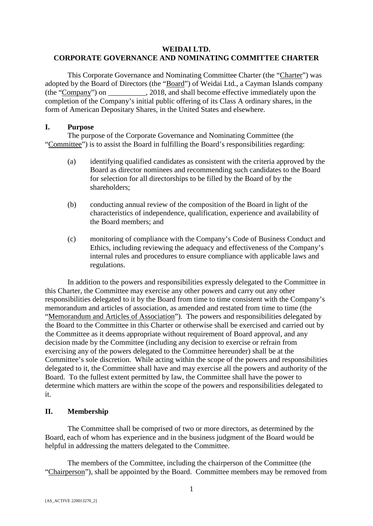# **WEIDAI LTD. CORPORATE GOVERNANCE AND NOMINATING COMMITTEE CHARTER**

This Corporate Governance and Nominating Committee Charter (the "Charter") was adopted by the Board of Directors (the "Board") of Weidai Ltd., a Cayman Islands company (the "Company") on \_\_\_\_\_\_\_\_\_\_, 2018, and shall become effective immediately upon the completion of the Company's initial public offering of its Class A ordinary shares, in the form of American Depositary Shares, in the United States and elsewhere.

#### **I. Purpose**

The purpose of the Corporate Governance and Nominating Committee (the "Committee") is to assist the Board in fulfilling the Board's responsibilities regarding:

- (a) identifying qualified candidates as consistent with the criteria approved by the Board as director nominees and recommending such candidates to the Board for selection for all directorships to be filled by the Board of by the shareholders;
- (b) conducting annual review of the composition of the Board in light of the characteristics of independence, qualification, experience and availability of the Board members; and
- (c) monitoring of compliance with the Company's Code of Business Conduct and Ethics, including reviewing the adequacy and effectiveness of the Company's internal rules and procedures to ensure compliance with applicable laws and regulations.

In addition to the powers and responsibilities expressly delegated to the Committee in this Charter, the Committee may exercise any other powers and carry out any other responsibilities delegated to it by the Board from time to time consistent with the Company's memorandum and articles of association, as amended and restated from time to time (the "Memorandum and Articles of Association"). The powers and responsibilities delegated by the Board to the Committee in this Charter or otherwise shall be exercised and carried out by the Committee as it deems appropriate without requirement of Board approval, and any decision made by the Committee (including any decision to exercise or refrain from exercising any of the powers delegated to the Committee hereunder) shall be at the Committee's sole discretion. While acting within the scope of the powers and responsibilities delegated to it, the Committee shall have and may exercise all the powers and authority of the Board. To the fullest extent permitted by law, the Committee shall have the power to determine which matters are within the scope of the powers and responsibilities delegated to it.

## **II. Membership**

The Committee shall be comprised of two or more directors, as determined by the Board, each of whom has experience and in the business judgment of the Board would be helpful in addressing the matters delegated to the Committee.

The members of the Committee, including the chairperson of the Committee (the "Chairperson"), shall be appointed by the Board. Committee members may be removed from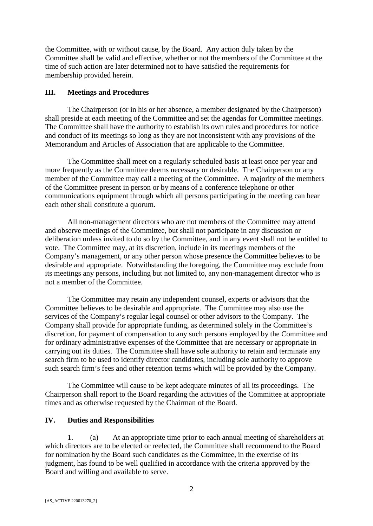the Committee, with or without cause, by the Board. Any action duly taken by the Committee shall be valid and effective, whether or not the members of the Committee at the time of such action are later determined not to have satisfied the requirements for membership provided herein.

### **III. Meetings and Procedures**

The Chairperson (or in his or her absence, a member designated by the Chairperson) shall preside at each meeting of the Committee and set the agendas for Committee meetings. The Committee shall have the authority to establish its own rules and procedures for notice and conduct of its meetings so long as they are not inconsistent with any provisions of the Memorandum and Articles of Association that are applicable to the Committee.

The Committee shall meet on a regularly scheduled basis at least once per year and more frequently as the Committee deems necessary or desirable. The Chairperson or any member of the Committee may call a meeting of the Committee. A majority of the members of the Committee present in person or by means of a conference telephone or other communications equipment through which all persons participating in the meeting can hear each other shall constitute a quorum.

All non-management directors who are not members of the Committee may attend and observe meetings of the Committee, but shall not participate in any discussion or deliberation unless invited to do so by the Committee, and in any event shall not be entitled to vote. The Committee may, at its discretion, include in its meetings members of the Company's management, or any other person whose presence the Committee believes to be desirable and appropriate. Notwithstanding the foregoing, the Committee may exclude from its meetings any persons, including but not limited to, any non-management director who is not a member of the Committee.

The Committee may retain any independent counsel, experts or advisors that the Committee believes to be desirable and appropriate. The Committee may also use the services of the Company's regular legal counsel or other advisors to the Company. The Company shall provide for appropriate funding, as determined solely in the Committee's discretion, for payment of compensation to any such persons employed by the Committee and for ordinary administrative expenses of the Committee that are necessary or appropriate in carrying out its duties. The Committee shall have sole authority to retain and terminate any search firm to be used to identify director candidates, including sole authority to approve such search firm's fees and other retention terms which will be provided by the Company.

The Committee will cause to be kept adequate minutes of all its proceedings. The Chairperson shall report to the Board regarding the activities of the Committee at appropriate times and as otherwise requested by the Chairman of the Board.

## **IV. Duties and Responsibilities**

1. (a) At an appropriate time prior to each annual meeting of shareholders at which directors are to be elected or reelected, the Committee shall recommend to the Board for nomination by the Board such candidates as the Committee, in the exercise of its judgment, has found to be well qualified in accordance with the criteria approved by the Board and willing and available to serve.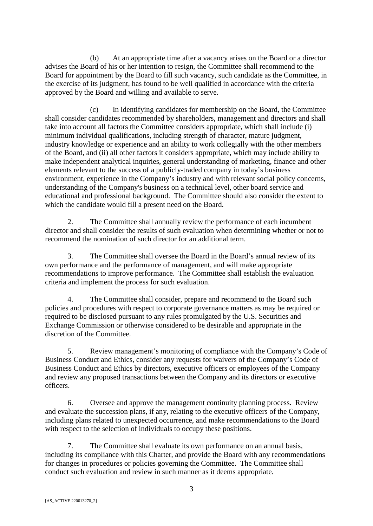(b) At an appropriate time after a vacancy arises on the Board or a director advises the Board of his or her intention to resign, the Committee shall recommend to the Board for appointment by the Board to fill such vacancy, such candidate as the Committee, in the exercise of its judgment, has found to be well qualified in accordance with the criteria approved by the Board and willing and available to serve.

(c) In identifying candidates for membership on the Board, the Committee shall consider candidates recommended by shareholders, management and directors and shall take into account all factors the Committee considers appropriate, which shall include (i) minimum individual qualifications, including strength of character, mature judgment, industry knowledge or experience and an ability to work collegially with the other members of the Board, and (ii) all other factors it considers appropriate, which may include ability to make independent analytical inquiries, general understanding of marketing, finance and other elements relevant to the success of a publicly-traded company in today's business environment, experience in the Company's industry and with relevant social policy concerns, understanding of the Company's business on a technical level, other board service and educational and professional background. The Committee should also consider the extent to which the candidate would fill a present need on the Board.

2. The Committee shall annually review the performance of each incumbent director and shall consider the results of such evaluation when determining whether or not to recommend the nomination of such director for an additional term.

3. The Committee shall oversee the Board in the Board's annual review of its own performance and the performance of management, and will make appropriate recommendations to improve performance. The Committee shall establish the evaluation criteria and implement the process for such evaluation.

4. The Committee shall consider, prepare and recommend to the Board such policies and procedures with respect to corporate governance matters as may be required or required to be disclosed pursuant to any rules promulgated by the U.S. Securities and Exchange Commission or otherwise considered to be desirable and appropriate in the discretion of the Committee.

5. Review management's monitoring of compliance with the Company's Code of Business Conduct and Ethics, consider any requests for waivers of the Company's Code of Business Conduct and Ethics by directors, executive officers or employees of the Company and review any proposed transactions between the Company and its directors or executive officers.

6. Oversee and approve the management continuity planning process. Review and evaluate the succession plans, if any, relating to the executive officers of the Company, including plans related to unexpected occurrence, and make recommendations to the Board with respect to the selection of individuals to occupy these positions.

7. The Committee shall evaluate its own performance on an annual basis, including its compliance with this Charter, and provide the Board with any recommendations for changes in procedures or policies governing the Committee. The Committee shall conduct such evaluation and review in such manner as it deems appropriate.